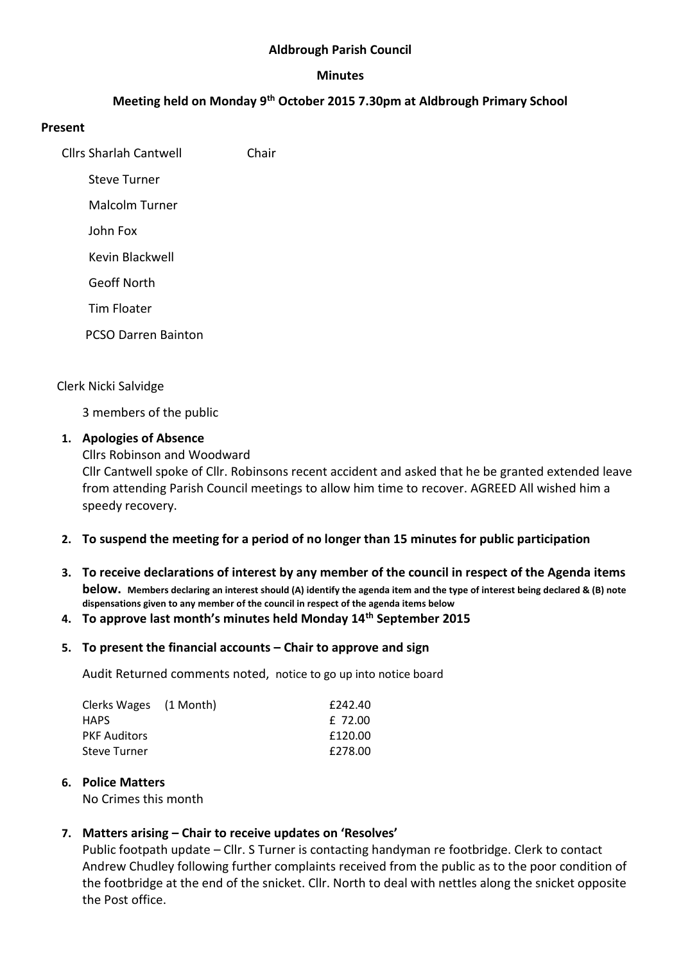### **Aldbrough Parish Council**

#### **Minutes**

# **Meeting held on Monday 9th October 2015 7.30pm at Aldbrough Primary School**

### **Present**

Cllrs Sharlah Cantwell Chair

Steve Turner

Malcolm Turner

John Fox

Kevin Blackwell

Geoff North

Tim Floater

PCSO Darren Bainton

### Clerk Nicki Salvidge

3 members of the public

### **1. Apologies of Absence**

Cllrs Robinson and Woodward

Cllr Cantwell spoke of Cllr. Robinsons recent accident and asked that he be granted extended leave from attending Parish Council meetings to allow him time to recover. AGREED All wished him a speedy recovery.

## **2. To suspend the meeting for a period of no longer than 15 minutes for public participation**

**3. To receive declarations of interest by any member of the council in respect of the Agenda items below. Members declaring an interest should (A) identify the agenda item and the type of interest being declared & (B) note dispensations given to any member of the council in respect of the agenda items below**

#### **4. To approve last month's minutes held Monday 14th September 2015**

#### **5. To present the financial accounts – Chair to approve and sign**

Audit Returned comments noted, notice to go up into notice board

| Clerks Wages (1 Month) | £242.40 |
|------------------------|---------|
| <b>HAPS</b>            | £ 72.00 |
| <b>PKF Auditors</b>    | £120.00 |
| Steve Turner           | £278.00 |

#### **6. Police Matters**

No Crimes this month

## **7. Matters arising – Chair to receive updates on 'Resolves'**

Public footpath update – Cllr. S Turner is contacting handyman re footbridge. Clerk to contact Andrew Chudley following further complaints received from the public as to the poor condition of the footbridge at the end of the snicket. Cllr. North to deal with nettles along the snicket opposite the Post office.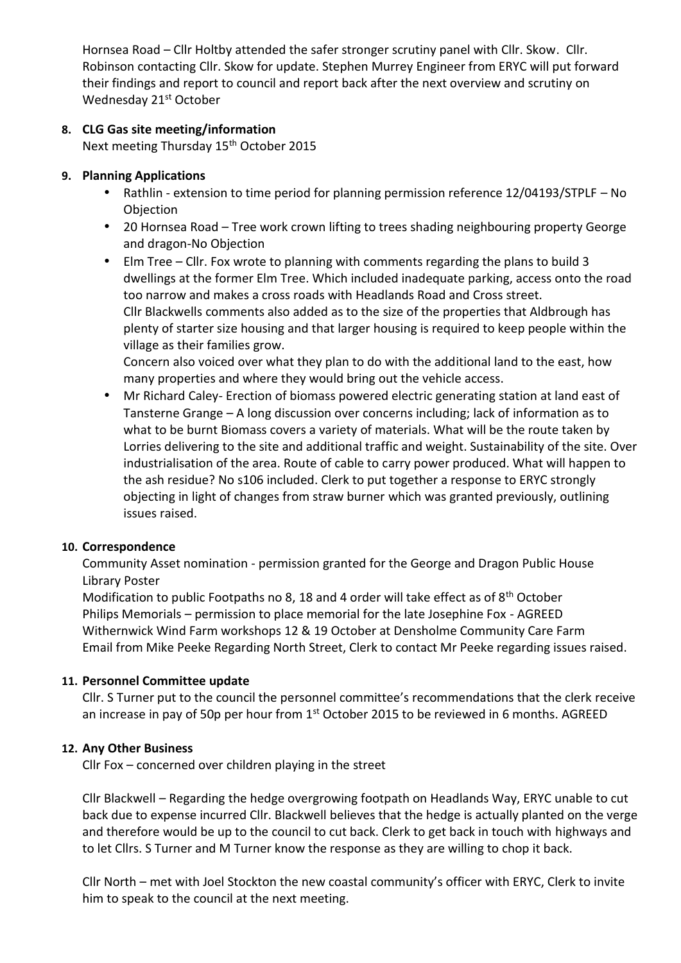Hornsea Road – Cllr Holtby attended the safer stronger scrutiny panel with Cllr. Skow. Cllr. Robinson contacting Cllr. Skow for update. Stephen Murrey Engineer from ERYC will put forward their findings and report to council and report back after the next overview and scrutiny on Wednesday 21<sup>st</sup> October

# **8. CLG Gas site meeting/information**

Next meeting Thursday 15<sup>th</sup> October 2015

# **9. Planning Applications**

- Rathlin extension to time period for planning permission reference 12/04193/STPLF No **Objection**
- 20 Hornsea Road Tree work crown lifting to trees shading neighbouring property George and dragon-No Objection
- Elm Tree Cllr. Fox wrote to planning with comments regarding the plans to build 3 dwellings at the former Elm Tree. Which included inadequate parking, access onto the road too narrow and makes a cross roads with Headlands Road and Cross street. Cllr Blackwells comments also added as to the size of the properties that Aldbrough has plenty of starter size housing and that larger housing is required to keep people within the village as their families grow.

Concern also voiced over what they plan to do with the additional land to the east, how many properties and where they would bring out the vehicle access.

 Mr Richard Caley- Erection of biomass powered electric generating station at land east of Tansterne Grange – A long discussion over concerns including; lack of information as to what to be burnt Biomass covers a variety of materials. What will be the route taken by Lorries delivering to the site and additional traffic and weight. Sustainability of the site. Over industrialisation of the area. Route of cable to carry power produced. What will happen to the ash residue? No s106 included. Clerk to put together a response to ERYC strongly objecting in light of changes from straw burner which was granted previously, outlining issues raised.

## **10. Correspondence**

Community Asset nomination - permission granted for the George and Dragon Public House Library Poster

Modification to public Footpaths no 8, 18 and 4 order will take effect as of 8th October Philips Memorials – permission to place memorial for the late Josephine Fox - AGREED Withernwick Wind Farm workshops 12 & 19 October at Densholme Community Care Farm Email from Mike Peeke Regarding North Street, Clerk to contact Mr Peeke regarding issues raised.

## **11. Personnel Committee update**

Cllr. S Turner put to the council the personnel committee's recommendations that the clerk receive an increase in pay of 50p per hour from  $1<sup>st</sup>$  October 2015 to be reviewed in 6 months. AGREED

## **12. Any Other Business**

Cllr Fox – concerned over children playing in the street

Cllr Blackwell – Regarding the hedge overgrowing footpath on Headlands Way, ERYC unable to cut back due to expense incurred Cllr. Blackwell believes that the hedge is actually planted on the verge and therefore would be up to the council to cut back. Clerk to get back in touch with highways and to let Cllrs. S Turner and M Turner know the response as they are willing to chop it back.

Cllr North – met with Joel Stockton the new coastal community's officer with ERYC, Clerk to invite him to speak to the council at the next meeting.